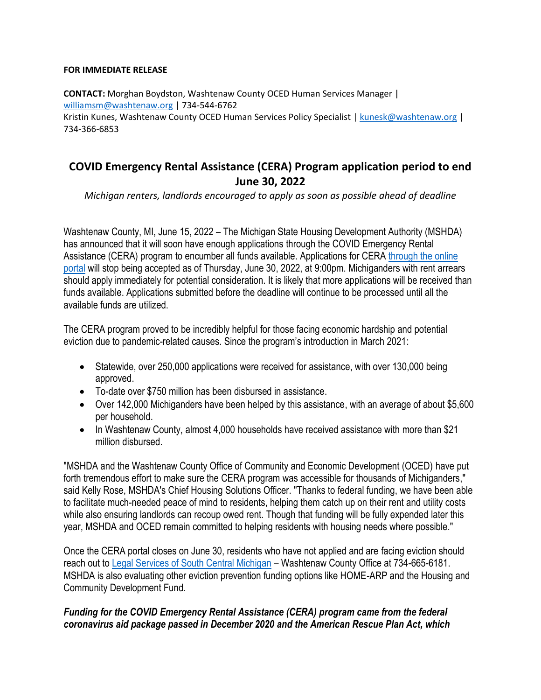#### **FOR IMMEDIATE RELEASE**

**CONTACT:** Morghan Boydston, Washtenaw County OCED Human Services Manager | [williamsm@washtenaw.org](mailto:williamsm@washtenaw.org) | 734-544-6762 Kristin Kunes, Washtenaw County OCED Human Services Policy Specialist | [kunesk@washtenaw.org](mailto:kunesk@washtenaw.org) | 734-366-6853

# **COVID Emergency Rental Assistance (CERA) Program application period to end June 30, 2022**

*Michigan renters, landlords encouraged to apply as soon as possible ahead of deadline*

Washtenaw County, MI, June 15, 2022 – The Michigan State Housing Development Authority (MSHDA) has announced that it will soon have enough applications through the COVID Emergency Rental Assistance (CERA) program to encumber all funds available. Applications for CERA through the online [portal](https://ceraapp.michigan.gov/) will stop being accepted as of Thursday, June 30, 2022, at 9:00pm. Michiganders with rent arrears should apply immediately for potential consideration. It is likely that more applications will be received than funds available. Applications submitted before the deadline will continue to be processed until all the available funds are utilized.

The CERA program proved to be incredibly helpful for those facing economic hardship and potential eviction due to pandemic-related causes. Since the program's introduction in March 2021:

- Statewide, over 250,000 applications were received for assistance, with over 130,000 being approved.
- To-date over \$750 million has been disbursed in assistance.
- Over 142,000 Michiganders have been helped by this assistance, with an average of about \$5,600 per household.
- In Washtenaw County, almost 4,000 households have received assistance with more than \$21 million disbursed.

"MSHDA and the Washtenaw County Office of Community and Economic Development (OCED) have put forth tremendous effort to make sure the CERA program was accessible for thousands of Michiganders," said Kelly Rose, MSHDA's Chief Housing Solutions Officer. "Thanks to federal funding, we have been able to facilitate much-needed peace of mind to residents, helping them catch up on their rent and utility costs while also ensuring landlords can recoup owed rent. Though that funding will be fully expended later this year, MSHDA and OCED remain committed to helping residents with housing needs where possible."

Once the CERA portal closes on June 30, residents who have not applied and are facing eviction should reach out t[o Legal Services of South Central Michigan](https://lsscm.org/) – Washtenaw County Office at 734-665-6181. MSHDA is also evaluating other eviction prevention funding options like HOME-ARP and the Housing and Community Development Fund.

### *Funding for the COVID Emergency Rental Assistance (CERA) program came from the federal coronavirus aid package passed in December 2020 and the American Rescue Plan Act, which*